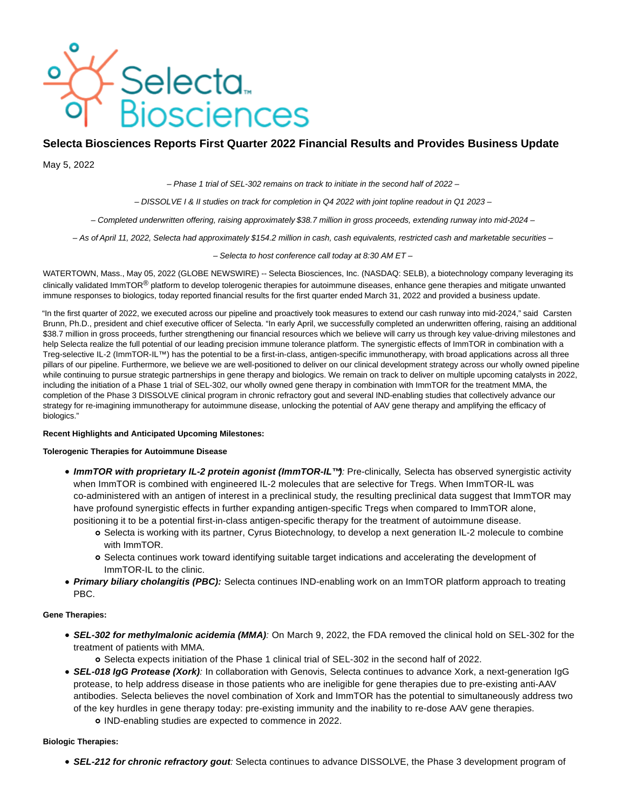

# **Selecta Biosciences Reports First Quarter 2022 Financial Results and Provides Business Update**

May 5, 2022

– Phase 1 trial of SEL-302 remains on track to initiate in the second half of 2022 –

– DISSOLVE I & II studies on track for completion in Q4 2022 with joint topline readout in Q1 2023 –

– Completed underwritten offering, raising approximately \$38.7 million in gross proceeds, extending runway into mid-2024 –

– As of April 11, 2022, Selecta had approximately \$154.2 million in cash, cash equivalents, restricted cash and marketable securities –

– Selecta to host conference call today at 8:30 AM ET –

WATERTOWN, Mass., May 05, 2022 (GLOBE NEWSWIRE) -- Selecta Biosciences, Inc. (NASDAQ: SELB), a biotechnology company leveraging its clinically validated ImmTOR<sup>®</sup> platform to develop tolerogenic therapies for autoimmune diseases, enhance gene therapies and mitigate unwanted immune responses to biologics, today reported financial results for the first quarter ended March 31, 2022 and provided a business update.

"In the first quarter of 2022, we executed across our pipeline and proactively took measures to extend our cash runway into mid-2024," said Carsten Brunn, Ph.D., president and chief executive officer of Selecta. "In early April, we successfully completed an underwritten offering, raising an additional \$38.7 million in gross proceeds, further strengthening our financial resources which we believe will carry us through key value-driving milestones and help Selecta realize the full potential of our leading precision immune tolerance platform. The synergistic effects of ImmTOR in combination with a Treg-selective IL-2 (ImmTOR-IL™) has the potential to be a first-in-class, antigen-specific immunotherapy, with broad applications across all three pillars of our pipeline. Furthermore, we believe we are well-positioned to deliver on our clinical development strategy across our wholly owned pipeline while continuing to pursue strategic partnerships in gene therapy and biologics. We remain on track to deliver on multiple upcoming catalysts in 2022, including the initiation of a Phase 1 trial of SEL-302, our wholly owned gene therapy in combination with ImmTOR for the treatment MMA, the completion of the Phase 3 DISSOLVE clinical program in chronic refractory gout and several IND-enabling studies that collectively advance our strategy for re-imagining immunotherapy for autoimmune disease, unlocking the potential of AAV gene therapy and amplifying the efficacy of biologics."

# **Recent Highlights and Anticipated Upcoming Milestones:**

### **Tolerogenic Therapies for Autoimmune Disease**

- **ImmTOR with proprietary IL-2 protein agonist (ImmTOR-IL™)**: Pre-clinically, Selecta has observed synergistic activity when ImmTOR is combined with engineered IL-2 molecules that are selective for Tregs. When ImmTOR-IL was co-administered with an antigen of interest in a preclinical study, the resulting preclinical data suggest that ImmTOR may have profound synergistic effects in further expanding antigen-specific Tregs when compared to ImmTOR alone, positioning it to be a potential first-in-class antigen-specific therapy for the treatment of autoimmune disease.
	- Selecta is working with its partner, Cyrus Biotechnology, to develop a next generation IL-2 molecule to combine with ImmTOR.
	- Selecta continues work toward identifying suitable target indications and accelerating the development of ImmTOR-IL to the clinic.
- **Primary biliary cholangitis (PBC):** Selecta continues IND-enabling work on an ImmTOR platform approach to treating PBC.

# **Gene Therapies:**

**SEL-302 for methylmalonic acidemia (MMA)**: On March 9, 2022, the FDA removed the clinical hold on SEL-302 for the treatment of patients with MMA.

Selecta expects initiation of the Phase 1 clinical trial of SEL-302 in the second half of 2022.

- **SEL-018 IgG Protease (Xork)**: In collaboration with Genovis, Selecta continues to advance Xork, a next-generation IgG protease, to help address disease in those patients who are ineligible for gene therapies due to pre-existing anti-AAV antibodies. Selecta believes the novel combination of Xork and ImmTOR has the potential to simultaneously address two of the key hurdles in gene therapy today: pre-existing immunity and the inability to re-dose AAV gene therapies.
	- IND-enabling studies are expected to commence in 2022.

# **Biologic Therapies:**

**SEL-212 for chronic refractory gout**: Selecta continues to advance DISSOLVE, the Phase 3 development program of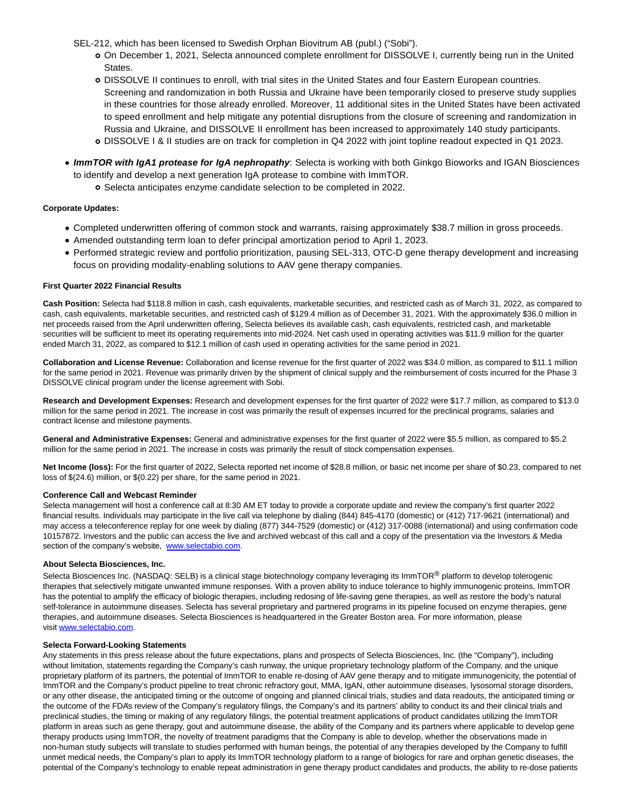SEL-212, which has been licensed to Swedish Orphan Biovitrum AB (publ.) ("Sobi").

- On December 1, 2021, Selecta announced complete enrollment for DISSOLVE I, currently being run in the United States.
- DISSOLVE II continues to enroll, with trial sites in the United States and four Eastern European countries. Screening and randomization in both Russia and Ukraine have been temporarily closed to preserve study supplies in these countries for those already enrolled. Moreover, 11 additional sites in the United States have been activated to speed enrollment and help mitigate any potential disruptions from the closure of screening and randomization in Russia and Ukraine, and DISSOLVE II enrollment has been increased to approximately 140 study participants. DISSOLVE I & II studies are on track for completion in Q4 2022 with joint topline readout expected in Q1 2023.
- **ImmTOR with IgA1 protease for IgA nephropathy**: Selecta is working with both Ginkgo Bioworks and IGAN Biosciences to identify and develop a next generation IgA protease to combine with ImmTOR.
	- Selecta anticipates enzyme candidate selection to be completed in 2022.

### **Corporate Updates:**

- Completed underwritten offering of common stock and warrants, raising approximately \$38.7 million in gross proceeds.
- Amended outstanding term loan to defer principal amortization period to April 1, 2023.
- Performed strategic review and portfolio prioritization, pausing SEL-313, OTC-D gene therapy development and increasing focus on providing modality-enabling solutions to AAV gene therapy companies.

### **First Quarter 2022 Financial Results**

**Cash Position:** Selecta had \$118.8 million in cash, cash equivalents, marketable securities, and restricted cash as of March 31, 2022, as compared to cash, cash equivalents, marketable securities, and restricted cash of \$129.4 million as of December 31, 2021. With the approximately \$36.0 million in net proceeds raised from the April underwritten offering, Selecta believes its available cash, cash equivalents, restricted cash, and marketable securities will be sufficient to meet its operating requirements into mid-2024. Net cash used in operating activities was \$11.9 million for the quarter ended March 31, 2022, as compared to \$12.1 million of cash used in operating activities for the same period in 2021.

**Collaboration and License Revenue:** Collaboration and license revenue for the first quarter of 2022 was \$34.0 million, as compared to \$11.1 million for the same period in 2021. Revenue was primarily driven by the shipment of clinical supply and the reimbursement of costs incurred for the Phase 3 DISSOLVE clinical program under the license agreement with Sobi.

**Research and Development Expenses:** Research and development expenses for the first quarter of 2022 were \$17.7 million, as compared to \$13.0 million for the same period in 2021. The increase in cost was primarily the result of expenses incurred for the preclinical programs, salaries and contract license and milestone payments.

**General and Administrative Expenses:** General and administrative expenses for the first quarter of 2022 were \$5.5 million, as compared to \$5.2 million for the same period in 2021. The increase in costs was primarily the result of stock compensation expenses.

**Net Income (loss):** For the first quarter of 2022, Selecta reported net income of \$28.8 million, or basic net income per share of \$0.23, compared to net loss of \$(24.6) million, or \$(0.22) per share, for the same period in 2021.

### **Conference Call and Webcast Reminder**

Selecta management will host a conference call at 8:30 AM ET today to provide a corporate update and review the company's first quarter 2022 financial results. Individuals may participate in the live call via telephone by dialing (844) 845-4170 (domestic) or (412) 717-9621 (international) and may access a teleconference replay for one week by dialing (877) 344-7529 (domestic) or (412) 317-0088 (international) and using confirmation code 10157872. Investors and the public can access the live and archived webcast of this call and a copy of the presentation via the Investors & Media section of the company's website, [www.selectabio.com.](https://www.globenewswire.com/Tracker?data=5Nq-aFR503BAs_J0TLYFGvaEVYwYdRMCBlJ4SBx8N-ltSw-SLIJurork2syOKA1DALARM7IdUu7c71nZ7R_SZzmOrwHz848yEGVvNMDHW-c=)

### **About Selecta Biosciences, Inc.**

Selecta Biosciences Inc. (NASDAQ: SELB) is a clinical stage biotechnology company leveraging its ImmTOR<sup>®</sup> platform to develop tolerogenic therapies that selectively mitigate unwanted immune responses. With a proven ability to induce tolerance to highly immunogenic proteins, ImmTOR has the potential to amplify the efficacy of biologic therapies, including redosing of life-saving gene therapies, as well as restore the body's natural self-tolerance in autoimmune diseases. Selecta has several proprietary and partnered programs in its pipeline focused on enzyme therapies, gene therapies, and autoimmune diseases. Selecta Biosciences is headquartered in the Greater Boston area. For more information, please visit [www.selectabio.com.](https://www.globenewswire.com/Tracker?data=5Nq-aFR503BAs_J0TLYFGtV5ltbpPvWeB8e1qY7w6qjSNXN-JGuXXUJNovNpGY0opTn2rgWAHfUPUVEYNzgmfrs2px3M9Lk-tl9qu8e_UxYh2pcacrbF0vuqwL3IIzyHc7aBFmXHnkXSdE_R4VogXjDbaNa6hph4rDPeZ4tSqEj-VZNxHyF9Wt_MgAyzDwkW_ryF1QK7VxocoSkOuUcJ29jaO3lqLbsn9mFYWarMgdaKZBGwpoAfOk4Pd1uYH03dKSK9Lk6UREwk5zF9Vpe0GUlcBuE4iZuJDf_tcFNslyeEXQBr9rEVBKfbTVJquURa-kFa1a3gmDodxbDUofuk1I_C6O3GN1wzL-HuOyjW2ocdwnosmHKQVbpK_FUnnBq_zZcDdhQ2EMXKeucObqRKszbJqF9YZLvEurh-TO-BPXNQ7nbnnKzq1x6bIfxmxndMz5EXsSt2ASJkpaaYUiTEAyYmHW9t4M5QHcA8NIYHbbjEHHzchr3Ba5pw2ytNjzvTNPLUX05rP7TGvfy416gT7Pt5H4VbIHSXhoxSyteMwLHapFEXRT-QS1amA79jFDAaQOtZQA64PZMN8QoTeLMrQ9l8_ExoBr7j7-sYl-lvGCJtiZP2T_su3_P_05pQlnlJtUgGFG4zwx2I1Dq1ra3-o3cut_2yzkTV2yPTkUf80gVuO9pnbMWA1RTV7cKVkNmUPz_QNu5L_fXvtpno33t6Tg7ibyKLO6LHgvMcK9caADlcPdwcYSPZI1ck0DP4NcGKlPZwRamfNVhK9zvdxnuMdmAkS-aZP_ITYVTyoN8i3JOeaOacydFN5NRlM0yPWePZ465qWZ1wbrDqI6IPyicJQJK-Uz79sjtCh4bNcAh8dMhy7FZ3R6ctGkS2MDPZ030kC3pSEMvK7JSyJzDGXjOxwrhu1YpAG1AGf0L_UbBA8XalqDpSn_2hePNZUb4rQQZmDW4NHhSO8S-9L4gAsgwT2hOHWq9DIgTdpspu3RiCGlVB7MyDf9C3AybOJyDScsvuOW91wPK2w5QHPxMIrxi4nvCkAIgzglemaqPnvagICOT6b_lTtk8ErJ6okNwML7V387JngzPOMA6G3u5tIBk24ToM2Mu7OeU4gObqEuHsrsY_U7sxsAsfaGDC1uiOj1imNGZpDBsU_Sf3V_Wc749EBMaaGTMW80600M-quocXnIwkAKs4v76dt6vWYPhC_bz1nRG25NVVumCSFlsEMNl5NU-qGCLgldG6fIOiQEDyCmgvNvu6T97-nTuUL67olGSlAfR2pXDcu2Yxn73m-r0gkaPdfOqyaHRhvxLbfCzfa4wvJYW_B_GYRdcNIyDNpTtwY_P1hqdXL4W_SBPBns6SYvfP0q3u-nY3UCOiiOA5aGiF4jw6f9dECAru65AduNcL)

### **Selecta Forward-Looking Statements**

Any statements in this press release about the future expectations, plans and prospects of Selecta Biosciences, Inc. (the "Company"), including without limitation, statements regarding the Company's cash runway, the unique proprietary technology platform of the Company, and the unique proprietary platform of its partners, the potential of ImmTOR to enable re-dosing of AAV gene therapy and to mitigate immunogenicity, the potential of ImmTOR and the Company's product pipeline to treat chronic refractory gout, MMA, IgAN, other autoimmune diseases, lysosomal storage disorders, or any other disease, the anticipated timing or the outcome of ongoing and planned clinical trials, studies and data readouts, the anticipated timing or the outcome of the FDA's review of the Company's regulatory filings, the Company's and its partners' ability to conduct its and their clinical trials and preclinical studies, the timing or making of any regulatory filings, the potential treatment applications of product candidates utilizing the ImmTOR platform in areas such as gene therapy, gout and autoimmune disease, the ability of the Company and its partners where applicable to develop gene therapy products using ImmTOR, the novelty of treatment paradigms that the Company is able to develop, whether the observations made in non-human study subjects will translate to studies performed with human beings, the potential of any therapies developed by the Company to fulfill unmet medical needs, the Company's plan to apply its ImmTOR technology platform to a range of biologics for rare and orphan genetic diseases, the potential of the Company's technology to enable repeat administration in gene therapy product candidates and products, the ability to re-dose patients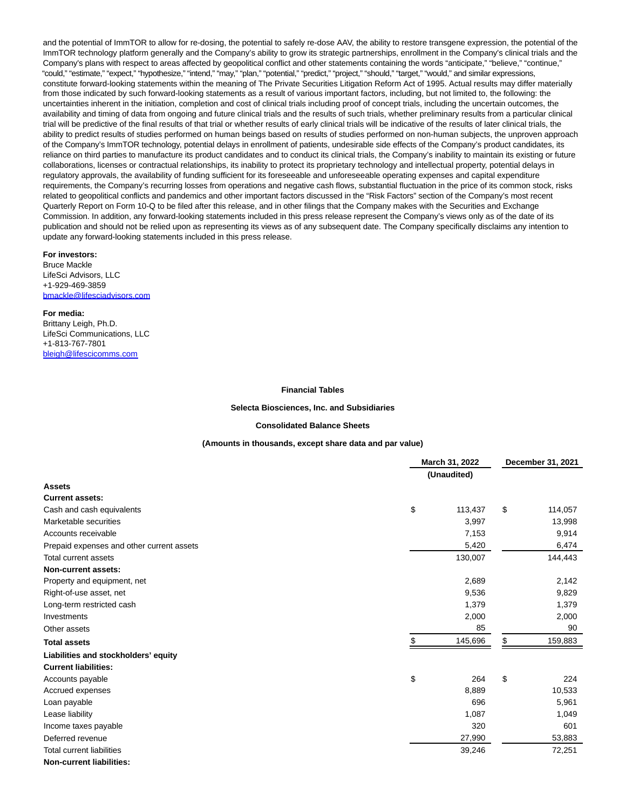and the potential of ImmTOR to allow for re-dosing, the potential to safely re-dose AAV, the ability to restore transgene expression, the potential of the ImmTOR technology platform generally and the Company's ability to grow its strategic partnerships, enrollment in the Company's clinical trials and the Company's plans with respect to areas affected by geopolitical conflict and other statements containing the words "anticipate," "believe," "continue," "could," "estimate," "expect," "hypothesize," "intend," "may," "plan," "potential," "predict," "project," "should," "target," "would," and similar expressions, constitute forward-looking statements within the meaning of The Private Securities Litigation Reform Act of 1995. Actual results may differ materially from those indicated by such forward-looking statements as a result of various important factors, including, but not limited to, the following: the uncertainties inherent in the initiation, completion and cost of clinical trials including proof of concept trials, including the uncertain outcomes, the availability and timing of data from ongoing and future clinical trials and the results of such trials, whether preliminary results from a particular clinical trial will be predictive of the final results of that trial or whether results of early clinical trials will be indicative of the results of later clinical trials, the ability to predict results of studies performed on human beings based on results of studies performed on non-human subjects, the unproven approach of the Company's ImmTOR technology, potential delays in enrollment of patients, undesirable side effects of the Company's product candidates, its reliance on third parties to manufacture its product candidates and to conduct its clinical trials, the Company's inability to maintain its existing or future collaborations, licenses or contractual relationships, its inability to protect its proprietary technology and intellectual property, potential delays in regulatory approvals, the availability of funding sufficient for its foreseeable and unforeseeable operating expenses and capital expenditure requirements, the Company's recurring losses from operations and negative cash flows, substantial fluctuation in the price of its common stock, risks related to geopolitical conflicts and pandemics and other important factors discussed in the "Risk Factors" section of the Company's most recent Quarterly Report on Form 10-Q to be filed after this release, and in other filings that the Company makes with the Securities and Exchange Commission. In addition, any forward-looking statements included in this press release represent the Company's views only as of the date of its publication and should not be relied upon as representing its views as of any subsequent date. The Company specifically disclaims any intention to update any forward-looking statements included in this press release.

### **For investors:**

Bruce Mackle LifeSci Advisors, LLC +1-929-469-3859 [bmackle@lifesciadvisors.com](https://www.globenewswire.com/Tracker?data=7RjLShIp2mZ0ZkcAWwi75swXCgUjht-_4kq3Szip8jRvz5Y6VWI5A33PXVDlGv4hhxodSYFWRpCYlk292457xq8qlFMdyREWSk5b_Puv1t82wTl-PCJS2t0vE91mVgei)

#### **For media:**

Brittany Leigh, Ph.D. LifeSci Communications, LLC +1-813-767-7801 [bleigh@lifescicomms.com](https://www.globenewswire.com/Tracker?data=PhTEHjtkFMZ7dPElS811tUQbFq3iAym5zys__wxPM_N-p1lhl2sirtmuLSVm6k2OkAW83CahU7P4xRs_lltdXDcznqSU8ZxRzO0kO2Vx1-A=)

#### **Financial Tables**

#### **Selecta Biosciences, Inc. and Subsidiaries**

#### **Consolidated Balance Sheets**

#### **(Amounts in thousands, except share data and par value)**

|                                           | March 31, 2022 |    | December 31, 2021 |  |
|-------------------------------------------|----------------|----|-------------------|--|
|                                           | (Unaudited)    |    |                   |  |
| <b>Assets</b>                             |                |    |                   |  |
| <b>Current assets:</b>                    |                |    |                   |  |
| Cash and cash equivalents                 | \$<br>113,437  | \$ | 114,057           |  |
| Marketable securities                     | 3,997          |    | 13,998            |  |
| Accounts receivable                       | 7,153          |    | 9,914             |  |
| Prepaid expenses and other current assets | 5,420          |    | 6,474             |  |
| Total current assets                      | 130,007        |    | 144,443           |  |
| Non-current assets:                       |                |    |                   |  |
| Property and equipment, net               | 2,689          |    | 2,142             |  |
| Right-of-use asset, net                   | 9,536          |    | 9,829             |  |
| Long-term restricted cash                 | 1,379          |    | 1,379             |  |
| Investments                               | 2,000          |    | 2,000             |  |
| Other assets                              | 85             |    | 90                |  |
| <b>Total assets</b>                       | \$<br>145,696  | \$ | 159,883           |  |
| Liabilities and stockholders' equity      |                |    |                   |  |
| <b>Current liabilities:</b>               |                |    |                   |  |
| Accounts payable                          | \$<br>264      | \$ | 224               |  |
| Accrued expenses                          | 8,889          |    | 10,533            |  |
| Loan payable                              | 696            |    | 5,961             |  |
| Lease liability                           | 1,087          |    | 1,049             |  |
| Income taxes payable                      | 320            |    | 601               |  |
| Deferred revenue                          | 27,990         |    | 53,883            |  |
| <b>Total current liabilities</b>          | 39,246         |    | 72,251            |  |
| <b>Non-current liabilities:</b>           |                |    |                   |  |